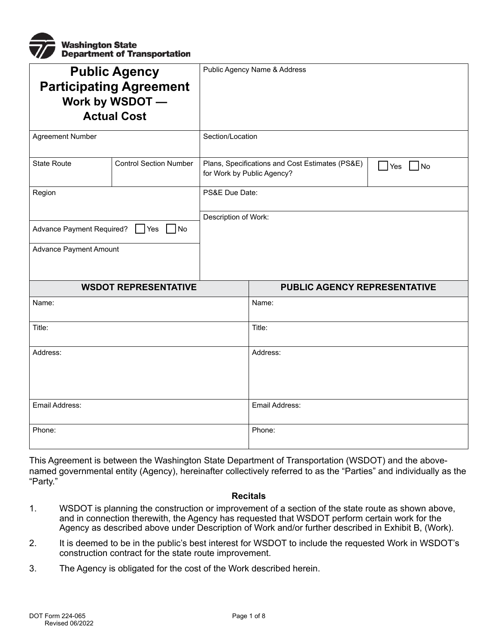

| <b>Public Agency</b><br><b>Participating Agreement</b><br>Work by WSDOT -<br><b>Actual Cost</b> |                               | Public Agency Name & Address                                                                         |                                     |  |
|-------------------------------------------------------------------------------------------------|-------------------------------|------------------------------------------------------------------------------------------------------|-------------------------------------|--|
| <b>Agreement Number</b>                                                                         |                               | Section/Location                                                                                     |                                     |  |
| <b>State Route</b>                                                                              | <b>Control Section Number</b> | Plans, Specifications and Cost Estimates (PS&E)<br>$\bigcap$ No<br>Yes<br>for Work by Public Agency? |                                     |  |
| Region                                                                                          |                               | PS&E Due Date:                                                                                       |                                     |  |
| Advance Payment Required?<br>No<br>  Yes<br>Advance Payment Amount                              |                               | Description of Work:                                                                                 |                                     |  |
|                                                                                                 |                               |                                                                                                      |                                     |  |
|                                                                                                 | <b>WSDOT REPRESENTATIVE</b>   |                                                                                                      | <b>PUBLIC AGENCY REPRESENTATIVE</b> |  |
| Name:                                                                                           |                               |                                                                                                      | Name:                               |  |
| Title:                                                                                          |                               |                                                                                                      | Title:                              |  |
| Address:                                                                                        |                               |                                                                                                      | Address:                            |  |
| Email Address:                                                                                  |                               |                                                                                                      | Email Address:                      |  |
| Phone:                                                                                          |                               |                                                                                                      | Phone:                              |  |

This Agreement is between the Washington State Department of Transportation (WSDOT) and the abovenamed governmental entity (Agency), hereinafter collectively referred to as the "Parties" and individually as the "Party."

#### **Recitals**

- 1. WSDOT is planning the construction or improvement of a section of the state route as shown above, and in connection therewith, the Agency has requested that WSDOT perform certain work for the Agency as described above under Description of Work and/or further described in Exhibit B, (Work).
- 2. It is deemed to be in the public's best interest for WSDOT to include the requested Work in WSDOT's construction contract for the state route improvement.
- 3. The Agency is obligated for the cost of the Work described herein.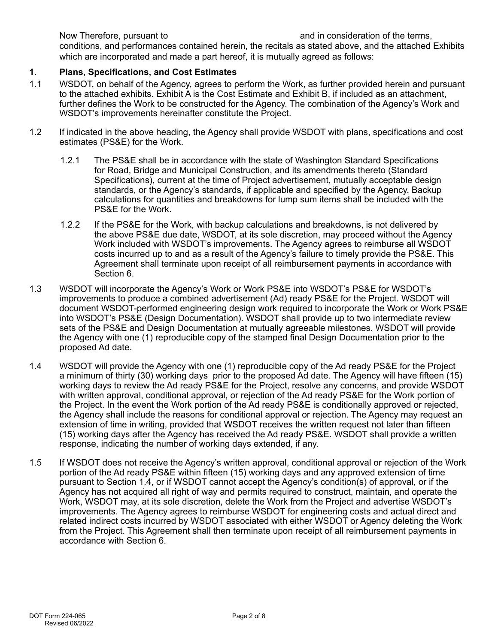Now Therefore, pursuant to  $\blacksquare$  and in consideration of the terms,

conditions, and performances contained herein, the recitals as stated above, and the attached Exhibits which are incorporated and made a part hereof, it is mutually agreed as follows:

# **1. Plans, Specifications, and Cost Estimates**

- 1.1 WSDOT, on behalf of the Agency, agrees to perform the Work, as further provided herein and pursuant to the attached exhibits. Exhibit A is the Cost Estimate and Exhibit B, if included as an attachment, further defines the Work to be constructed for the Agency. The combination of the Agency's Work and WSDOT's improvements hereinafter constitute the Project.
- 1.2 If indicated in the above heading, the Agency shall provide WSDOT with plans, specifications and cost estimates (PS&E) for the Work.
	- 1.2.1 The PS&E shall be in accordance with the state of Washington Standard Specifications for Road, Bridge and Municipal Construction, and its amendments thereto (Standard Specifications), current at the time of Project advertisement, mutually acceptable design standards, or the Agency's standards, if applicable and specified by the Agency. Backup calculations for quantities and breakdowns for lump sum items shall be included with the PS&E for the Work.
	- 1.2.2 If the PS&E for the Work, with backup calculations and breakdowns, is not delivered by the above PS&E due date, WSDOT, at its sole discretion, may proceed without the Agency Work included with WSDOT's improvements. The Agency agrees to reimburse all WSDOT costs incurred up to and as a result of the Agency's failure to timely provide the PS&E. This Agreement shall terminate upon receipt of all reimbursement payments in accordance with Section 6.
- 1.3 WSDOT will incorporate the Agency's Work or Work PS&E into WSDOT's PS&E for WSDOT's improvements to produce a combined advertisement (Ad) ready PS&E for the Project. WSDOT will document WSDOT-performed engineering design work required to incorporate the Work or Work PS&E into WSDOT's PS&E (Design Documentation). WSDOT shall provide up to two intermediate review sets of the PS&E and Design Documentation at mutually agreeable milestones. WSDOT will provide the Agency with one (1) reproducible copy of the stamped final Design Documentation prior to the proposed Ad date.
- 1.4 WSDOT will provide the Agency with one (1) reproducible copy of the Ad ready PS&E for the Project a minimum of thirty (30) working days prior to the proposed Ad date. The Agency will have fifteen (15) working days to review the Ad ready PS&E for the Project, resolve any concerns, and provide WSDOT with written approval, conditional approval, or rejection of the Ad ready PS&E for the Work portion of the Project. In the event the Work portion of the Ad ready PS&E is conditionally approved or rejected, the Agency shall include the reasons for conditional approval or rejection. The Agency may request an extension of time in writing, provided that WSDOT receives the written request not later than fifteen (15) working days after the Agency has received the Ad ready PS&E. WSDOT shall provide a written response, indicating the number of working days extended, if any.
- 1.5 If WSDOT does not receive the Agency's written approval, conditional approval or rejection of the Work portion of the Ad ready PS&E within fifteen (15) working days and any approved extension of time pursuant to Section 1.4, or if WSDOT cannot accept the Agency's condition(s) of approval, or if the Agency has not acquired all right of way and permits required to construct, maintain, and operate the Work, WSDOT may, at its sole discretion, delete the Work from the Project and advertise WSDOT's improvements. The Agency agrees to reimburse WSDOT for engineering costs and actual direct and related indirect costs incurred by WSDOT associated with either WSDOT or Agency deleting the Work from the Project. This Agreement shall then terminate upon receipt of all reimbursement payments in accordance with Section 6.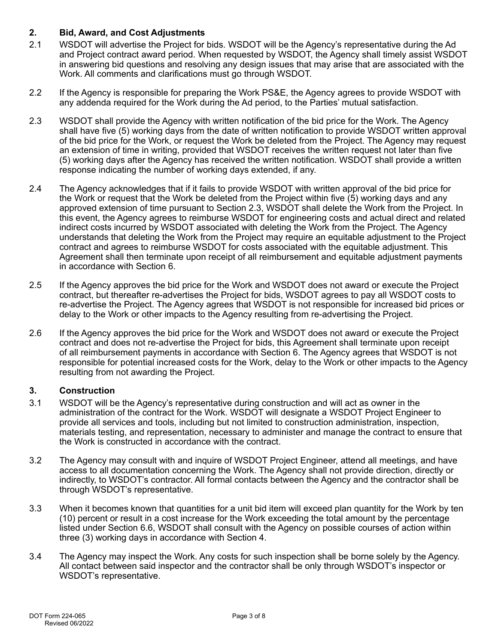## **2. Bid, Award, and Cost Adjustments**

- 2.1 WSDOT will advertise the Project for bids. WSDOT will be the Agency's representative during the Ad and Project contract award period. When requested by WSDOT, the Agency shall timely assist WSDOT in answering bid questions and resolving any design issues that may arise that are associated with the Work. All comments and clarifications must go through WSDOT.
- 2.2 If the Agency is responsible for preparing the Work PS&E, the Agency agrees to provide WSDOT with any addenda required for the Work during the Ad period, to the Parties' mutual satisfaction.
- 2.3 WSDOT shall provide the Agency with written notification of the bid price for the Work. The Agency shall have five (5) working days from the date of written notification to provide WSDOT written approval of the bid price for the Work, or request the Work be deleted from the Project. The Agency may request an extension of time in writing, provided that WSDOT receives the written request not later than five (5) working days after the Agency has received the written notification. WSDOT shall provide a written response indicating the number of working days extended, if any.
- 2.4 The Agency acknowledges that if it fails to provide WSDOT with written approval of the bid price for the Work or request that the Work be deleted from the Project within five (5) working days and any approved extension of time pursuant to Section 2.3, WSDOT shall delete the Work from the Project. In this event, the Agency agrees to reimburse WSDOT for engineering costs and actual direct and related indirect costs incurred by WSDOT associated with deleting the Work from the Project. The Agency understands that deleting the Work from the Project may require an equitable adjustment to the Project contract and agrees to reimburse WSDOT for costs associated with the equitable adjustment. This Agreement shall then terminate upon receipt of all reimbursement and equitable adjustment payments in accordance with Section 6.
- 2.5 If the Agency approves the bid price for the Work and WSDOT does not award or execute the Project contract, but thereafter re-advertises the Project for bids, WSDOT agrees to pay all WSDOT costs to re-advertise the Project. The Agency agrees that WSDOT is not responsible for increased bid prices or delay to the Work or other impacts to the Agency resulting from re-advertising the Project.
- 2.6 If the Agency approves the bid price for the Work and WSDOT does not award or execute the Project contract and does not re-advertise the Project for bids, this Agreement shall terminate upon receipt of all reimbursement payments in accordance with Section 6. The Agency agrees that WSDOT is not responsible for potential increased costs for the Work, delay to the Work or other impacts to the Agency resulting from not awarding the Project.

## **3. Construction**

- 3.1 WSDOT will be the Agency's representative during construction and will act as owner in the administration of the contract for the Work. WSDOT will designate a WSDOT Project Engineer to provide all services and tools, including but not limited to construction administration, inspection, materials testing, and representation, necessary to administer and manage the contract to ensure that the Work is constructed in accordance with the contract.
- 3.2 The Agency may consult with and inquire of WSDOT Project Engineer, attend all meetings, and have access to all documentation concerning the Work. The Agency shall not provide direction, directly or indirectly, to WSDOT's contractor. All formal contacts between the Agency and the contractor shall be through WSDOT's representative.
- 3.3 When it becomes known that quantities for a unit bid item will exceed plan quantity for the Work by ten (10) percent or result in a cost increase for the Work exceeding the total amount by the percentage listed under Section 6.6, WSDOT shall consult with the Agency on possible courses of action within three (3) working days in accordance with Section 4.
- 3.4 The Agency may inspect the Work. Any costs for such inspection shall be borne solely by the Agency. All contact between said inspector and the contractor shall be only through WSDOT's inspector or WSDOT's representative.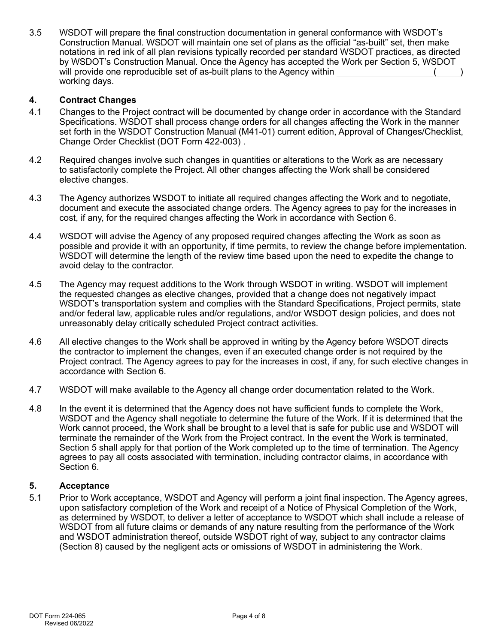3.5 WSDOT will prepare the final construction documentation in general conformance with WSDOT's Construction Manual. WSDOT will maintain one set of plans as the official "as-built" set, then make notations in red ink of all plan revisions typically recorded per standard WSDOT practices, as directed by WSDOT's Construction Manual. Once the Agency has accepted the Work per Section 5, WSDOT will provide one reproducible set of as-built plans to the Agency within  $($ working days.

#### **4. Contract Changes**

- 4.1 Changes to the Project contract will be documented by change order in accordance with the Standard Specifications. WSDOT shall process change orders for all changes affecting the Work in the manner set forth in the WSDOT Construction Manual (M41-01) current edition, Approval of Changes/Checklist, Change Order Checklist (DOT Form 422-003) .
- 4.2 Required changes involve such changes in quantities or alterations to the Work as are necessary to satisfactorily complete the Project. All other changes affecting the Work shall be considered elective changes.
- 4.3 The Agency authorizes WSDOT to initiate all required changes affecting the Work and to negotiate, document and execute the associated change orders. The Agency agrees to pay for the increases in cost, if any, for the required changes affecting the Work in accordance with Section 6.
- 4.4 WSDOT will advise the Agency of any proposed required changes affecting the Work as soon as possible and provide it with an opportunity, if time permits, to review the change before implementation. WSDOT will determine the length of the review time based upon the need to expedite the change to avoid delay to the contractor.
- 4.5 The Agency may request additions to the Work through WSDOT in writing. WSDOT will implement the requested changes as elective changes, provided that a change does not negatively impact WSDOT's transportation system and complies with the Standard Specifications, Project permits, state and/or federal law, applicable rules and/or regulations, and/or WSDOT design policies, and does not unreasonably delay critically scheduled Project contract activities.
- 4.6 All elective changes to the Work shall be approved in writing by the Agency before WSDOT directs the contractor to implement the changes, even if an executed change order is not required by the Project contract. The Agency agrees to pay for the increases in cost, if any, for such elective changes in accordance with Section 6.
- 4.7 WSDOT will make available to the Agency all change order documentation related to the Work.
- 4.8 In the event it is determined that the Agency does not have sufficient funds to complete the Work, WSDOT and the Agency shall negotiate to determine the future of the Work. If it is determined that the Work cannot proceed, the Work shall be brought to a level that is safe for public use and WSDOT will terminate the remainder of the Work from the Project contract. In the event the Work is terminated, Section 5 shall apply for that portion of the Work completed up to the time of termination. The Agency agrees to pay all costs associated with termination, including contractor claims, in accordance with Section 6.

#### **5. Acceptance**

5.1 Prior to Work acceptance, WSDOT and Agency will perform a joint final inspection. The Agency agrees, upon satisfactory completion of the Work and receipt of a Notice of Physical Completion of the Work, as determined by WSDOT, to deliver a letter of acceptance to WSDOT which shall include a release of WSDOT from all future claims or demands of any nature resulting from the performance of the Work and WSDOT administration thereof, outside WSDOT right of way, subject to any contractor claims (Section 8) caused by the negligent acts or omissions of WSDOT in administering the Work.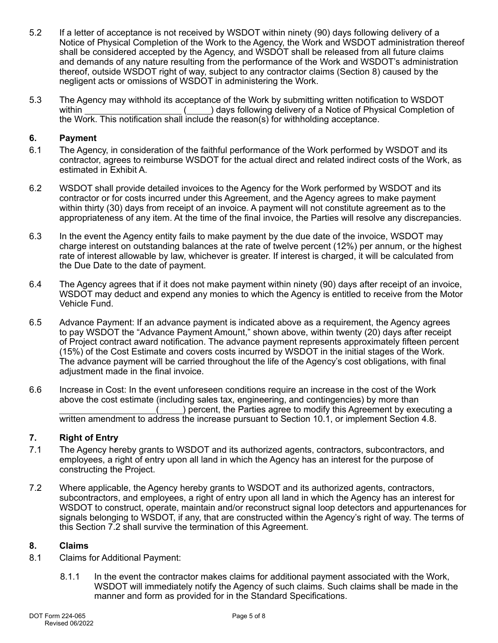- 5.2 If a letter of acceptance is not received by WSDOT within ninety (90) days following delivery of a Notice of Physical Completion of the Work to the Agency, the Work and WSDOT administration thereof shall be considered accepted by the Agency, and WSDOT shall be released from all future claims and demands of any nature resulting from the performance of the Work and WSDOT's administration thereof, outside WSDOT right of way, subject to any contractor claims (Section 8) caused by the negligent acts or omissions of WSDOT in administering the Work.
- 5.3 The Agency may withhold its acceptance of the Work by submitting written notification to WSDOT within  $($ ) days following delivery of a Notice of Physical Completion of the Work. This notification shall include the reason(s) for withholding acceptance.

#### **6. Payment**

- 6.1 The Agency, in consideration of the faithful performance of the Work performed by WSDOT and its contractor, agrees to reimburse WSDOT for the actual direct and related indirect costs of the Work, as estimated in Exhibit A.
- 6.2 WSDOT shall provide detailed invoices to the Agency for the Work performed by WSDOT and its contractor or for costs incurred under this Agreement, and the Agency agrees to make payment within thirty (30) days from receipt of an invoice. A payment will not constitute agreement as to the appropriateness of any item. At the time of the final invoice, the Parties will resolve any discrepancies.
- 6.3 In the event the Agency entity fails to make payment by the due date of the invoice, WSDOT may charge interest on outstanding balances at the rate of twelve percent (12%) per annum, or the highest rate of interest allowable by law, whichever is greater. If interest is charged, it will be calculated from the Due Date to the date of payment.
- 6.4 The Agency agrees that if it does not make payment within ninety (90) days after receipt of an invoice, WSDOT may deduct and expend any monies to which the Agency is entitled to receive from the Motor Vehicle Fund.
- 6.5 Advance Payment: If an advance payment is indicated above as a requirement, the Agency agrees to pay WSDOT the "Advance Payment Amount," shown above, within twenty (20) days after receipt of Project contract award notification. The advance payment represents approximately fifteen percent (15%) of the Cost Estimate and covers costs incurred by WSDOT in the initial stages of the Work. The advance payment will be carried throughout the life of the Agency's cost obligations, with final adjustment made in the final invoice.
- 6.6 Increase in Cost: In the event unforeseen conditions require an increase in the cost of the Work above the cost estimate (including sales tax, engineering, and contingencies) by more than ( ) percent, the Parties agree to modify this Agreement by executing a written amendment to address the increase pursuant to Section 10.1, or implement Section 4.8.

# **7. Right of Entry**

- 7.1 The Agency hereby grants to WSDOT and its authorized agents, contractors, subcontractors, and employees, a right of entry upon all land in which the Agency has an interest for the purpose of constructing the Project.
- 7.2 Where applicable, the Agency hereby grants to WSDOT and its authorized agents, contractors, subcontractors, and employees, a right of entry upon all land in which the Agency has an interest for WSDOT to construct, operate, maintain and/or reconstruct signal loop detectors and appurtenances for signals belonging to WSDOT, if any, that are constructed within the Agency's right of way. The terms of this Section 7.2 shall survive the termination of this Agreement.

#### **8. Claims**

- 8.1 Claims for Additional Payment:
	- 8.1.1 In the event the contractor makes claims for additional payment associated with the Work, WSDOT will immediately notify the Agency of such claims. Such claims shall be made in the manner and form as provided for in the Standard Specifications.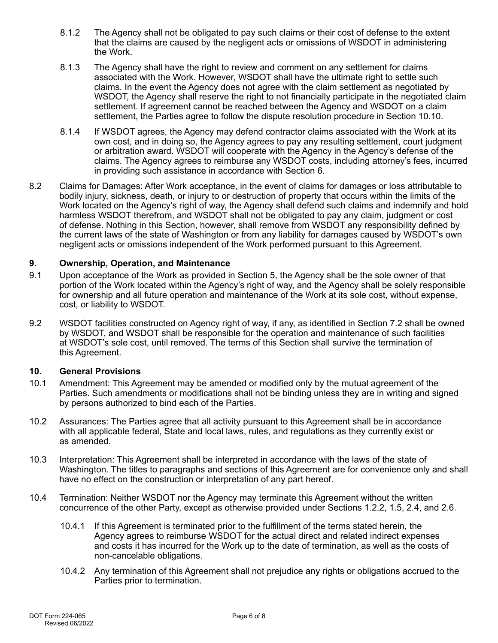- 8.1.2 The Agency shall not be obligated to pay such claims or their cost of defense to the extent that the claims are caused by the negligent acts or omissions of WSDOT in administering the Work.
- 8.1.3 The Agency shall have the right to review and comment on any settlement for claims associated with the Work. However, WSDOT shall have the ultimate right to settle such claims. In the event the Agency does not agree with the claim settlement as negotiated by WSDOT, the Agency shall reserve the right to not financially participate in the negotiated claim settlement. If agreement cannot be reached between the Agency and WSDOT on a claim settlement, the Parties agree to follow the dispute resolution procedure in Section 10.10.
- 8.1.4 If WSDOT agrees, the Agency may defend contractor claims associated with the Work at its own cost, and in doing so, the Agency agrees to pay any resulting settlement, court judgment or arbitration award. WSDOT will cooperate with the Agency in the Agency's defense of the claims. The Agency agrees to reimburse any WSDOT costs, including attorney's fees, incurred in providing such assistance in accordance with Section 6.
- 8.2 Claims for Damages: After Work acceptance, in the event of claims for damages or loss attributable to bodily injury, sickness, death, or injury to or destruction of property that occurs within the limits of the Work located on the Agency's right of way, the Agency shall defend such claims and indemnify and hold harmless WSDOT therefrom, and WSDOT shall not be obligated to pay any claim, judgment or cost of defense. Nothing in this Section, however, shall remove from WSDOT any responsibility defined by the current laws of the state of Washington or from any liability for damages caused by WSDOT's own negligent acts or omissions independent of the Work performed pursuant to this Agreement.

# **9. Ownership, Operation, and Maintenance**

- 9.1 Upon acceptance of the Work as provided in Section 5, the Agency shall be the sole owner of that portion of the Work located within the Agency's right of way, and the Agency shall be solely responsible for ownership and all future operation and maintenance of the Work at its sole cost, without expense, cost, or liability to WSDOT.
- 9.2 WSDOT facilities constructed on Agency right of way, if any, as identified in Section 7.2 shall be owned by WSDOT, and WSDOT shall be responsible for the operation and maintenance of such facilities at WSDOT's sole cost, until removed. The terms of this Section shall survive the termination of this Agreement.

## **10. General Provisions**

- 10.1 Amendment: This Agreement may be amended or modified only by the mutual agreement of the Parties. Such amendments or modifications shall not be binding unless they are in writing and signed by persons authorized to bind each of the Parties.
- 10.2 Assurances: The Parties agree that all activity pursuant to this Agreement shall be in accordance with all applicable federal, State and local laws, rules, and regulations as they currently exist or as amended.
- 10.3 Interpretation: This Agreement shall be interpreted in accordance with the laws of the state of Washington. The titles to paragraphs and sections of this Agreement are for convenience only and shall have no effect on the construction or interpretation of any part hereof.
- 10.4 Termination: Neither WSDOT nor the Agency may terminate this Agreement without the written concurrence of the other Party, except as otherwise provided under Sections 1.2.2, 1.5, 2.4, and 2.6.
	- 10.4.1 If this Agreement is terminated prior to the fulfillment of the terms stated herein, the Agency agrees to reimburse WSDOT for the actual direct and related indirect expenses and costs it has incurred for the Work up to the date of termination, as well as the costs of non-cancelable obligations.
	- 10.4.2 Any termination of this Agreement shall not prejudice any rights or obligations accrued to the Parties prior to termination.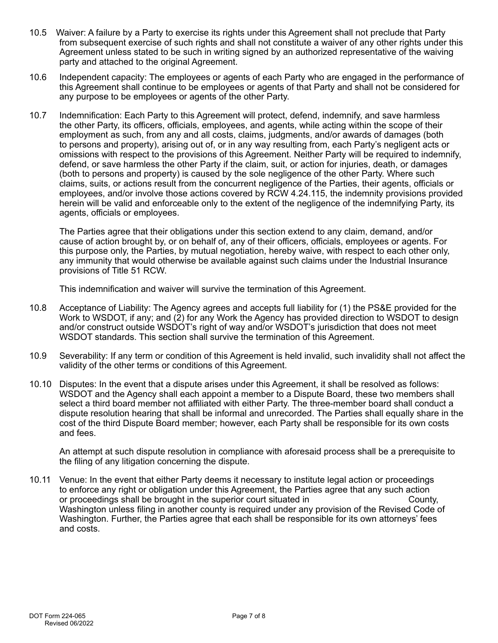- 10.5 Waiver: A failure by a Party to exercise its rights under this Agreement shall not preclude that Party from subsequent exercise of such rights and shall not constitute a waiver of any other rights under this Agreement unless stated to be such in writing signed by an authorized representative of the waiving party and attached to the original Agreement.
- 10.6 Independent capacity: The employees or agents of each Party who are engaged in the performance of this Agreement shall continue to be employees or agents of that Party and shall not be considered for any purpose to be employees or agents of the other Party.
- 10.7 Indemnification: Each Party to this Agreement will protect, defend, indemnify, and save harmless the other Party, its officers, officials, employees, and agents, while acting within the scope of their employment as such, from any and all costs, claims, judgments, and/or awards of damages (both to persons and property), arising out of, or in any way resulting from, each Party's negligent acts or omissions with respect to the provisions of this Agreement. Neither Party will be required to indemnify, defend, or save harmless the other Party if the claim, suit, or action for injuries, death, or damages (both to persons and property) is caused by the sole negligence of the other Party. Where such claims, suits, or actions result from the concurrent negligence of the Parties, their agents, officials or employees, and/or involve those actions covered by RCW 4.24.115, the indemnity provisions provided herein will be valid and enforceable only to the extent of the negligence of the indemnifying Party, its agents, officials or employees.

The Parties agree that their obligations under this section extend to any claim, demand, and/or cause of action brought by, or on behalf of, any of their officers, officials, employees or agents. For this purpose only, the Parties, by mutual negotiation, hereby waive, with respect to each other only, any immunity that would otherwise be available against such claims under the Industrial Insurance provisions of Title 51 RCW.

This indemnification and waiver will survive the termination of this Agreement.

- 10.8 Acceptance of Liability: The Agency agrees and accepts full liability for (1) the PS&E provided for the Work to WSDOT, if any; and (2) for any Work the Agency has provided direction to WSDOT to design and/or construct outside WSDOT's right of way and/or WSDOT's jurisdiction that does not meet WSDOT standards. This section shall survive the termination of this Agreement.
- 10.9 Severability: If any term or condition of this Agreement is held invalid, such invalidity shall not affect the validity of the other terms or conditions of this Agreement.
- 10.10 Disputes: In the event that a dispute arises under this Agreement, it shall be resolved as follows: WSDOT and the Agency shall each appoint a member to a Dispute Board, these two members shall select a third board member not affiliated with either Party. The three-member board shall conduct a dispute resolution hearing that shall be informal and unrecorded. The Parties shall equally share in the cost of the third Dispute Board member; however, each Party shall be responsible for its own costs and fees.

An attempt at such dispute resolution in compliance with aforesaid process shall be a prerequisite to the filing of any litigation concerning the dispute.

10.11 Venue: In the event that either Party deems it necessary to institute legal action or proceedings to enforce any right or obligation under this Agreement, the Parties agree that any such action or proceedings shall be brought in the superior court situated in  $\blacksquare$  County, Washington unless filing in another county is required under any provision of the Revised Code of Washington. Further, the Parties agree that each shall be responsible for its own attorneys' fees and costs.